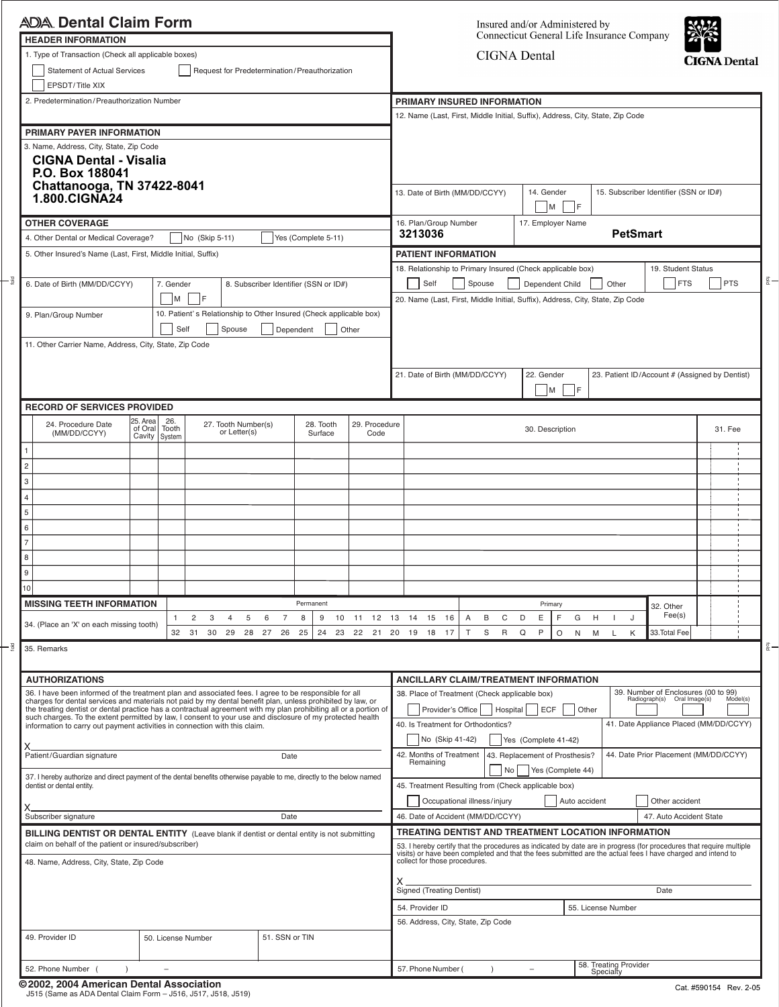|        | <b>ADA Dental Claim Form</b>                                                                       |                                                                                                                                                                                                                               |                                                                                                                                                                                                                     |                      |   |                                     |        |                                                                                                                                      |                                    |                                                                                                                                                                                                                                                                     |                                                                                                                                 |                                                                                          |                   | Insured and/or Administered by                                            |                 |                   |    |                       |                                       |                                                |                    |  |            |
|--------|----------------------------------------------------------------------------------------------------|-------------------------------------------------------------------------------------------------------------------------------------------------------------------------------------------------------------------------------|---------------------------------------------------------------------------------------------------------------------------------------------------------------------------------------------------------------------|----------------------|---|-------------------------------------|--------|--------------------------------------------------------------------------------------------------------------------------------------|------------------------------------|---------------------------------------------------------------------------------------------------------------------------------------------------------------------------------------------------------------------------------------------------------------------|---------------------------------------------------------------------------------------------------------------------------------|------------------------------------------------------------------------------------------|-------------------|---------------------------------------------------------------------------|-----------------|-------------------|----|-----------------------|---------------------------------------|------------------------------------------------|--------------------|--|------------|
|        |                                                                                                    | <b>HEADER INFORMATION</b><br>1. Type of Transaction (Check all applicable boxes)<br><b>Statement of Actual Services</b><br>Request for Predetermination/Preauthorization                                                      |                                                                                                                                                                                                                     |                      |   |                                     |        |                                                                                                                                      |                                    | Connecticut General Life Insurance Company<br><b>CIGNA</b> Dental                                                                                                                                                                                                   |                                                                                                                                 |                                                                                          |                   |                                                                           |                 |                   |    |                       | <b>CIGNA</b> Dental                   |                                                |                    |  |            |
|        | EPSDT/Title XIX                                                                                    |                                                                                                                                                                                                                               |                                                                                                                                                                                                                     |                      |   |                                     |        |                                                                                                                                      |                                    |                                                                                                                                                                                                                                                                     |                                                                                                                                 |                                                                                          |                   |                                                                           |                 |                   |    |                       |                                       |                                                |                    |  |            |
|        |                                                                                                    | 2. Predetermination/Preauthorization Number<br>PRIMARY PAYER INFORMATION<br><b>CIGNA Dental - Visalia</b><br>Chattanooga, TN 37422-8041                                                                                       |                                                                                                                                                                                                                     |                      |   |                                     |        |                                                                                                                                      |                                    | PRIMARY INSURED INFORMATION                                                                                                                                                                                                                                         |                                                                                                                                 |                                                                                          |                   |                                                                           |                 |                   |    |                       |                                       |                                                |                    |  |            |
|        |                                                                                                    |                                                                                                                                                                                                                               |                                                                                                                                                                                                                     |                      |   |                                     |        |                                                                                                                                      |                                    | 12. Name (Last, First, Middle Initial, Suffix), Address, City, State, Zip Code                                                                                                                                                                                      |                                                                                                                                 |                                                                                          |                   |                                                                           |                 |                   |    |                       |                                       |                                                |                    |  |            |
|        | 3. Name, Address, City, State, Zip Code<br>P.O. Box 188041                                         |                                                                                                                                                                                                                               |                                                                                                                                                                                                                     |                      |   |                                     |        |                                                                                                                                      |                                    |                                                                                                                                                                                                                                                                     |                                                                                                                                 |                                                                                          |                   |                                                                           |                 |                   |    |                       |                                       |                                                |                    |  |            |
|        | 1.800.CIGNA24                                                                                      |                                                                                                                                                                                                                               |                                                                                                                                                                                                                     |                      |   |                                     |        |                                                                                                                                      |                                    | 13. Date of Birth (MM/DD/CCYY)                                                                                                                                                                                                                                      |                                                                                                                                 |                                                                                          |                   | 15. Subscriber Identifier (SSN or ID#)<br>14. Gender<br>F<br>$\mathsf{M}$ |                 |                   |    |                       |                                       |                                                |                    |  |            |
|        | <b>OTHER COVERAGE</b>                                                                              |                                                                                                                                                                                                                               |                                                                                                                                                                                                                     |                      |   |                                     |        |                                                                                                                                      |                                    |                                                                                                                                                                                                                                                                     |                                                                                                                                 | 16. Plan/Group Number                                                                    | 17. Employer Name |                                                                           |                 |                   |    |                       |                                       |                                                |                    |  |            |
|        | 4. Other Dental or Medical Coverage?                                                               |                                                                                                                                                                                                                               |                                                                                                                                                                                                                     | No (Skip 5-11)       |   |                                     |        |                                                                                                                                      |                                    | Yes (Complete 5-11)                                                                                                                                                                                                                                                 |                                                                                                                                 | 3213036                                                                                  |                   |                                                                           |                 |                   |    |                       | <b>PetSmart</b>                       |                                                |                    |  |            |
|        | 5. Other Insured's Name (Last, First, Middle Initial, Suffix)                                      |                                                                                                                                                                                                                               |                                                                                                                                                                                                                     |                      |   |                                     |        |                                                                                                                                      |                                    |                                                                                                                                                                                                                                                                     |                                                                                                                                 | <b>PATIENT INFORMATION</b><br>18. Relationship to Primary Insured (Check applicable box) |                   |                                                                           |                 |                   |    |                       |                                       |                                                | 19. Student Status |  |            |
|        | 6. Date of Birth (MM/DD/CCYY)                                                                      |                                                                                                                                                                                                                               | 7. Gender<br>M                                                                                                                                                                                                      | - IF                 |   |                                     |        |                                                                                                                                      |                                    | 8. Subscriber Identifier (SSN or ID#)                                                                                                                                                                                                                               |                                                                                                                                 | Self<br>20. Name (Last, First, Middle Initial, Suffix), Address, City, State, Zip Code   |                   | Spouse                                                                    |                 | Dependent Child   |    | Other                 |                                       |                                                | <b>FTS</b>         |  | <b>PTS</b> |
|        | 9. Plan/Group Number                                                                               |                                                                                                                                                                                                                               |                                                                                                                                                                                                                     |                      |   |                                     |        |                                                                                                                                      |                                    |                                                                                                                                                                                                                                                                     | 10. Patient's Relationship to Other Insured (Check applicable box)                                                              |                                                                                          |                   |                                                                           |                 |                   |    |                       |                                       |                                                |                    |  |            |
|        | Self<br>Spouse<br>Dependent<br>Other<br>11. Other Carrier Name, Address, City, State, Zip Code     |                                                                                                                                                                                                                               |                                                                                                                                                                                                                     |                      |   |                                     |        |                                                                                                                                      |                                    |                                                                                                                                                                                                                                                                     |                                                                                                                                 |                                                                                          |                   |                                                                           |                 |                   |    |                       |                                       |                                                |                    |  |            |
|        |                                                                                                    |                                                                                                                                                                                                                               |                                                                                                                                                                                                                     |                      |   |                                     |        |                                                                                                                                      |                                    |                                                                                                                                                                                                                                                                     | 21. Date of Birth (MM/DD/CCYY)                                                                                                  |                                                                                          |                   |                                                                           | 22. Gender<br>M | - IF              |    |                       |                                       | 23. Patient ID/Account # (Assigned by Dentist) |                    |  |            |
|        | <b>RECORD OF SERVICES PROVIDED</b>                                                                 |                                                                                                                                                                                                                               |                                                                                                                                                                                                                     |                      |   |                                     |        |                                                                                                                                      |                                    |                                                                                                                                                                                                                                                                     |                                                                                                                                 |                                                                                          |                   |                                                                           |                 |                   |    |                       |                                       |                                                |                    |  |            |
|        | 25. Area<br>24. Procedure Date<br>of Oral<br>(MM/DD/CCYY)<br>Cavity                                |                                                                                                                                                                                                                               | 26.<br>Tooth<br>System                                                                                                                                                                                              |                      |   | 27. Tooth Number(s)<br>or Letter(s) |        | 28. Tooth<br>Surface                                                                                                                 |                                    |                                                                                                                                                                                                                                                                     | 29. Procedure<br>Code                                                                                                           |                                                                                          |                   |                                                                           | 30. Description |                   |    |                       |                                       |                                                | 31. Fee            |  |            |
|        |                                                                                                    |                                                                                                                                                                                                                               |                                                                                                                                                                                                                     |                      |   |                                     |        |                                                                                                                                      |                                    |                                                                                                                                                                                                                                                                     |                                                                                                                                 |                                                                                          |                   |                                                                           |                 |                   |    |                       |                                       |                                                |                    |  |            |
|        | $\overline{c}$                                                                                     |                                                                                                                                                                                                                               |                                                                                                                                                                                                                     |                      |   |                                     |        |                                                                                                                                      |                                    |                                                                                                                                                                                                                                                                     |                                                                                                                                 |                                                                                          |                   |                                                                           |                 |                   |    |                       |                                       |                                                |                    |  |            |
| 3<br>4 |                                                                                                    |                                                                                                                                                                                                                               |                                                                                                                                                                                                                     |                      |   |                                     |        |                                                                                                                                      |                                    |                                                                                                                                                                                                                                                                     |                                                                                                                                 |                                                                                          |                   |                                                                           |                 |                   |    |                       |                                       |                                                |                    |  |            |
|        | 5                                                                                                  |                                                                                                                                                                                                                               |                                                                                                                                                                                                                     |                      |   |                                     |        |                                                                                                                                      |                                    |                                                                                                                                                                                                                                                                     |                                                                                                                                 |                                                                                          |                   |                                                                           |                 |                   |    |                       |                                       |                                                |                    |  |            |
| 6      |                                                                                                    |                                                                                                                                                                                                                               |                                                                                                                                                                                                                     |                      |   |                                     |        |                                                                                                                                      |                                    |                                                                                                                                                                                                                                                                     |                                                                                                                                 |                                                                                          |                   |                                                                           |                 |                   |    |                       |                                       |                                                |                    |  |            |
| 7      |                                                                                                    |                                                                                                                                                                                                                               |                                                                                                                                                                                                                     |                      |   |                                     |        |                                                                                                                                      |                                    |                                                                                                                                                                                                                                                                     |                                                                                                                                 |                                                                                          |                   |                                                                           |                 |                   |    |                       |                                       |                                                |                    |  |            |
| 8      |                                                                                                    |                                                                                                                                                                                                                               |                                                                                                                                                                                                                     |                      |   |                                     |        |                                                                                                                                      |                                    |                                                                                                                                                                                                                                                                     |                                                                                                                                 |                                                                                          |                   |                                                                           |                 |                   |    |                       |                                       |                                                |                    |  |            |
| 9      |                                                                                                    |                                                                                                                                                                                                                               |                                                                                                                                                                                                                     |                      |   |                                     |        |                                                                                                                                      |                                    |                                                                                                                                                                                                                                                                     |                                                                                                                                 |                                                                                          |                   |                                                                           |                 |                   |    |                       |                                       |                                                |                    |  |            |
|        | 10                                                                                                 |                                                                                                                                                                                                                               |                                                                                                                                                                                                                     |                      |   |                                     |        |                                                                                                                                      |                                    |                                                                                                                                                                                                                                                                     |                                                                                                                                 |                                                                                          |                   |                                                                           |                 |                   |    |                       |                                       |                                                |                    |  |            |
|        | <b>MISSING TEETH INFORMATION</b>                                                                   |                                                                                                                                                                                                                               | $\mathbf{1}$                                                                                                                                                                                                        | 2                    | 3 | 4                                   | 5<br>6 | 7                                                                                                                                    | Permanent<br>8                     | 9<br>10                                                                                                                                                                                                                                                             | 11 12 13                                                                                                                        | 14<br>15 16                                                                              | $\overline{A}$    | B<br>C                                                                    | D<br>Е          | Primary<br>F      | G  | H<br>$\mathbf{I}$     | J                                     | 32. Other                                      | Fee(s)             |  |            |
|        | 34. (Place an 'X' on each missing tooth)                                                           |                                                                                                                                                                                                                               |                                                                                                                                                                                                                     | 32 31 30 29 28 27 26 |   |                                     |        |                                                                                                                                      | 25                                 |                                                                                                                                                                                                                                                                     |                                                                                                                                 | 24  23  22  21  20  19  18  17                                                           | T                 | S<br>$\mathsf{R}$                                                         | P<br>Q          | $\circ$           | N. | M<br>L                | K                                     |                                                | 33. Total Fee      |  |            |
|        | 35. Remarks                                                                                        |                                                                                                                                                                                                                               |                                                                                                                                                                                                                     |                      |   |                                     |        |                                                                                                                                      |                                    |                                                                                                                                                                                                                                                                     |                                                                                                                                 |                                                                                          |                   |                                                                           |                 |                   |    |                       |                                       |                                                |                    |  |            |
|        | <b>AUTHORIZATIONS</b>                                                                              |                                                                                                                                                                                                                               |                                                                                                                                                                                                                     |                      |   |                                     |        |                                                                                                                                      |                                    | <b>ANCILLARY CLAIM/TREATMENT INFORMATION</b>                                                                                                                                                                                                                        |                                                                                                                                 |                                                                                          |                   |                                                                           |                 |                   |    |                       |                                       |                                                |                    |  |            |
|        |                                                                                                    |                                                                                                                                                                                                                               | 36. I have been informed of the treatment plan and associated fees. I agree to be responsible for all<br>charges for dental services and materials not paid by my dental benefit plan, unless prohibited by law, or |                      |   |                                     |        |                                                                                                                                      |                                    |                                                                                                                                                                                                                                                                     | 39. Number of Enclosures (00 to 99)<br>38. Place of Treatment (Check applicable box)<br>Radiograph(s) Oral Image(s)<br>Model(s) |                                                                                          |                   |                                                                           |                 |                   |    |                       |                                       |                                                |                    |  |            |
|        |                                                                                                    | the treating dentist or dental practice has a contractual agreement with my plan prohibiting all or a portion of<br>such charges. To the extent permitted by law, I consent to your use and disclosure of my protected health |                                                                                                                                                                                                                     |                      |   |                                     |        | Provider's Office<br>Hospital<br><b>ECF</b><br>Other<br>41. Date Appliance Placed (MM/DD/CCYY)<br>40. Is Treatment for Orthodontics? |                                    |                                                                                                                                                                                                                                                                     |                                                                                                                                 |                                                                                          |                   |                                                                           |                 |                   |    |                       |                                       |                                                |                    |  |            |
|        | information to carry out payment activities in connection with this claim.                         |                                                                                                                                                                                                                               |                                                                                                                                                                                                                     |                      |   |                                     |        |                                                                                                                                      |                                    |                                                                                                                                                                                                                                                                     | No (Skip 41-42)                                                                                                                 |                                                                                          |                   | Yes (Complete 41-42)                                                      |                 |                   |    |                       |                                       |                                                |                    |  |            |
|        | Patient/Guardian signature<br>Date                                                                 |                                                                                                                                                                                                                               |                                                                                                                                                                                                                     |                      |   |                                     |        |                                                                                                                                      |                                    | 42. Months of Treatment<br>Remaining                                                                                                                                                                                                                                |                                                                                                                                 | 43. Replacement of Prosthesis?                                                           |                   |                                                                           |                 |                   |    |                       | 44. Date Prior Placement (MM/DD/CCYY) |                                                |                    |  |            |
|        | dentist or dental entity.                                                                          | 37. I hereby authorize and direct payment of the dental benefits otherwise payable to me, directly to the below named                                                                                                         |                                                                                                                                                                                                                     |                      |   |                                     |        |                                                                                                                                      |                                    |                                                                                                                                                                                                                                                                     |                                                                                                                                 | 45. Treatment Resulting from (Check applicable box)                                      |                   | No                                                                        |                 | Yes (Complete 44) |    |                       |                                       |                                                |                    |  |            |
|        | Subscriber signature                                                                               | Date                                                                                                                                                                                                                          |                                                                                                                                                                                                                     |                      |   |                                     |        | Occupational illness/injury<br>Auto accident<br>Other accident<br>46. Date of Accident (MM/DD/CCYY)<br>47. Auto Accident State       |                                    |                                                                                                                                                                                                                                                                     |                                                                                                                                 |                                                                                          |                   |                                                                           |                 |                   |    |                       |                                       |                                                |                    |  |            |
|        | <b>BILLING DENTIST OR DENTAL ENTITY</b> (Leave blank if dentist or dental entity is not submitting |                                                                                                                                                                                                                               |                                                                                                                                                                                                                     |                      |   |                                     |        |                                                                                                                                      |                                    | TREATING DENTIST AND TREATMENT LOCATION INFORMATION                                                                                                                                                                                                                 |                                                                                                                                 |                                                                                          |                   |                                                                           |                 |                   |    |                       |                                       |                                                |                    |  |            |
|        | claim on behalf of the patient or insured/subscriber)<br>48. Name, Address, City, State, Zip Code  |                                                                                                                                                                                                                               |                                                                                                                                                                                                                     |                      |   |                                     |        |                                                                                                                                      |                                    | 53. I hereby certify that the procedures as indicated by date are in progress (for procedures that require multiple<br>visits) or have been completed and that the fees submitted are the actual fees I have charged and intend to<br>collect for those procedures. |                                                                                                                                 |                                                                                          |                   |                                                                           |                 |                   |    |                       |                                       |                                                |                    |  |            |
|        |                                                                                                    |                                                                                                                                                                                                                               |                                                                                                                                                                                                                     |                      |   |                                     |        | Signed (Treating Dentist)<br>Date                                                                                                    |                                    |                                                                                                                                                                                                                                                                     |                                                                                                                                 |                                                                                          |                   |                                                                           |                 |                   |    |                       |                                       |                                                |                    |  |            |
|        |                                                                                                    |                                                                                                                                                                                                                               |                                                                                                                                                                                                                     |                      |   |                                     |        | 55. License Number<br>54. Provider ID                                                                                                |                                    |                                                                                                                                                                                                                                                                     |                                                                                                                                 |                                                                                          |                   |                                                                           |                 |                   |    |                       |                                       |                                                |                    |  |            |
|        |                                                                                                    |                                                                                                                                                                                                                               |                                                                                                                                                                                                                     |                      |   |                                     |        |                                                                                                                                      | 56. Address, City, State, Zip Code |                                                                                                                                                                                                                                                                     |                                                                                                                                 |                                                                                          |                   |                                                                           |                 |                   |    |                       |                                       |                                                |                    |  |            |
|        | 49. Provider ID                                                                                    |                                                                                                                                                                                                                               |                                                                                                                                                                                                                     | 50. License Number   |   |                                     |        | 51. SSN or TIN                                                                                                                       |                                    |                                                                                                                                                                                                                                                                     |                                                                                                                                 |                                                                                          |                   |                                                                           |                 |                   |    |                       |                                       |                                                |                    |  |            |
|        |                                                                                                    |                                                                                                                                                                                                                               |                                                                                                                                                                                                                     |                      |   |                                     |        |                                                                                                                                      |                                    |                                                                                                                                                                                                                                                                     |                                                                                                                                 |                                                                                          |                   |                                                                           |                 |                   |    | 58. Treating Provider |                                       |                                                |                    |  |            |

**© 2002, 2004 American Dental Association** J515 (Same as ADA Dental Claim Form – J516, J517, J518, J519)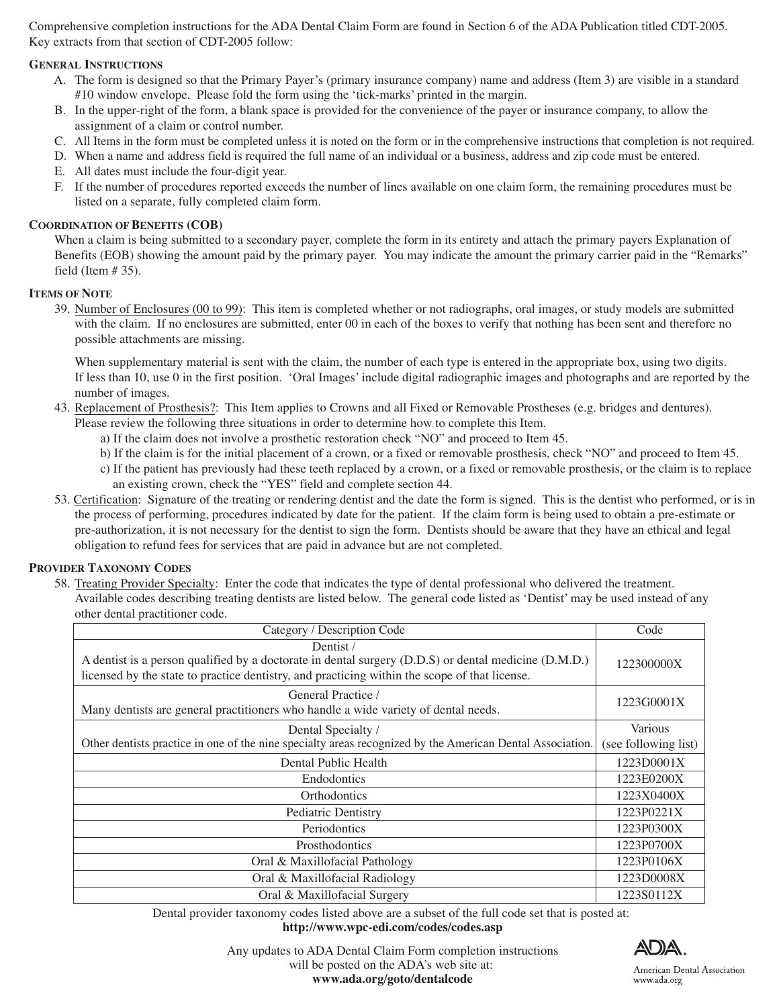Comprehensive completion instructions for the ADA Dental Claim Form are found in Section 6 of the ADA Publication titled CDT-2005. Key extracts from that section of CDT-2005 follow:

## **GENERAL INSTRUCTIONS**

- A. The form is designed so that the Primary Payer's (primary insurance company) name and address (Item 3) are visible in a standard #10 window envelope. Please fold the form using the 'tick-marks' printed in the margin.
- B. In the upper-right of the form, a blank space is provided for the convenience of the payer or insurance company, to allow the assignment of a claim or control number.
- C. All Items in the form must be completed unless it is noted on the form or in the comprehensive instructions that completion is not required.
- D. When a name and address field is required the full name of an individual or a business, address and zip code must be entered.
- E. All dates must include the four-digit year.
- F. If the number of procedures reported exceeds the number of lines available on one claim form, the remaining procedures must be listed on a separate, fully completed claim form.

### **COORDINATION OF BENEFITS (COB)**

When a claim is being submitted to a secondary payer, complete the form in its entirety and attach the primary payers Explanation of Benefits (EOB) showing the amount paid by the primary payer. You may indicate the amount the primary carrier paid in the "Remarks" field (Item  $# 35$ ).

### **ITEMS OF NOTE**

 39. Number of Enclosures (00 to 99): This item is completed whether or not radiographs, oral images, or study models are submitted with the claim. If no enclosures are submitted, enter 00 in each of the boxes to verify that nothing has been sent and therefore no possible attachments are missing.

When supplementary material is sent with the claim, the number of each type is entered in the appropriate box, using two digits. If less than 10, use 0 in the first position. 'Oral Images' include digital radiographic images and photographs and are reported by the number of images.

- 43. Replacement of Prosthesis?: This Item applies to Crowns and all Fixed or Removable Prostheses (e.g. bridges and dentures).
	- Please review the following three situations in order to determine how to complete this Item.
		- a) If the claim does not involve a prosthetic restoration check "NO" and proceed to Item 45.
		- b) If the claim is for the initial placement of a crown, or a fixed or removable prosthesis, check "NO" and proceed to Item 45.
		- c) If the patient has previously had these teeth replaced by a crown, or a fixed or removable prosthesis, or the claim is to replace an existing crown, check the "YES" field and complete section 44.
- 53. Certification: Signature of the treating or rendering dentist and the date the form is signed. This is the dentist who performed, or is in the process of performing, procedures indicated by date for the patient. If the claim form is being used to obtain a pre-estimate or pre-authorization, it is not necessary for the dentist to sign the form. Dentists should be aware that they have an ethical and legal obligation to refund fees for services that are paid in advance but are not completed.

### **PROVIDER TAXONOMY CODES**

- 58. Treating Provider Specialty: Enter the code that indicates the type of dental professional who delivered the treatment. Available codes describing treating dentists are listed below. The general code listed as 'Dentist' may be used instead of any
	- other dental practitioner code.

| Category / Description Code                                                                                                                                                                                       | Code                 |
|-------------------------------------------------------------------------------------------------------------------------------------------------------------------------------------------------------------------|----------------------|
| Dentist/<br>A dentist is a person qualified by a doctorate in dental surgery (D.D.S) or dental medicine (D.M.D.)<br>licensed by the state to practice dentistry, and practicing within the scope of that license. | 122300000X           |
| General Practice /<br>Many dentists are general practitioners who handle a wide variety of dental needs.                                                                                                          | 1223G0001X           |
| Dental Specialty /                                                                                                                                                                                                | Various              |
| Other dentists practice in one of the nine specialty areas recognized by the American Dental Association.                                                                                                         | (see following list) |
| Dental Public Health                                                                                                                                                                                              | 1223D0001X           |
| <b>Endodontics</b>                                                                                                                                                                                                | 1223E0200X           |
| Orthodontics                                                                                                                                                                                                      | 1223X0400X           |
| Pediatric Dentistry                                                                                                                                                                                               | 1223P0221X           |
| Periodontics                                                                                                                                                                                                      | 1223P0300X           |
| <b>Prosthodontics</b>                                                                                                                                                                                             | 1223P0700X           |
| Oral & Maxillofacial Pathology                                                                                                                                                                                    | 1223P0106X           |
| Oral & Maxillofacial Radiology                                                                                                                                                                                    | 1223D0008X           |
| Oral & Maxillofacial Surgery                                                                                                                                                                                      | 1223S0112X           |

Dental provider taxonomy codes listed above are a subset of the full code set that is posted at: **http://www.wpc-edi.com/codes/codes.asp**